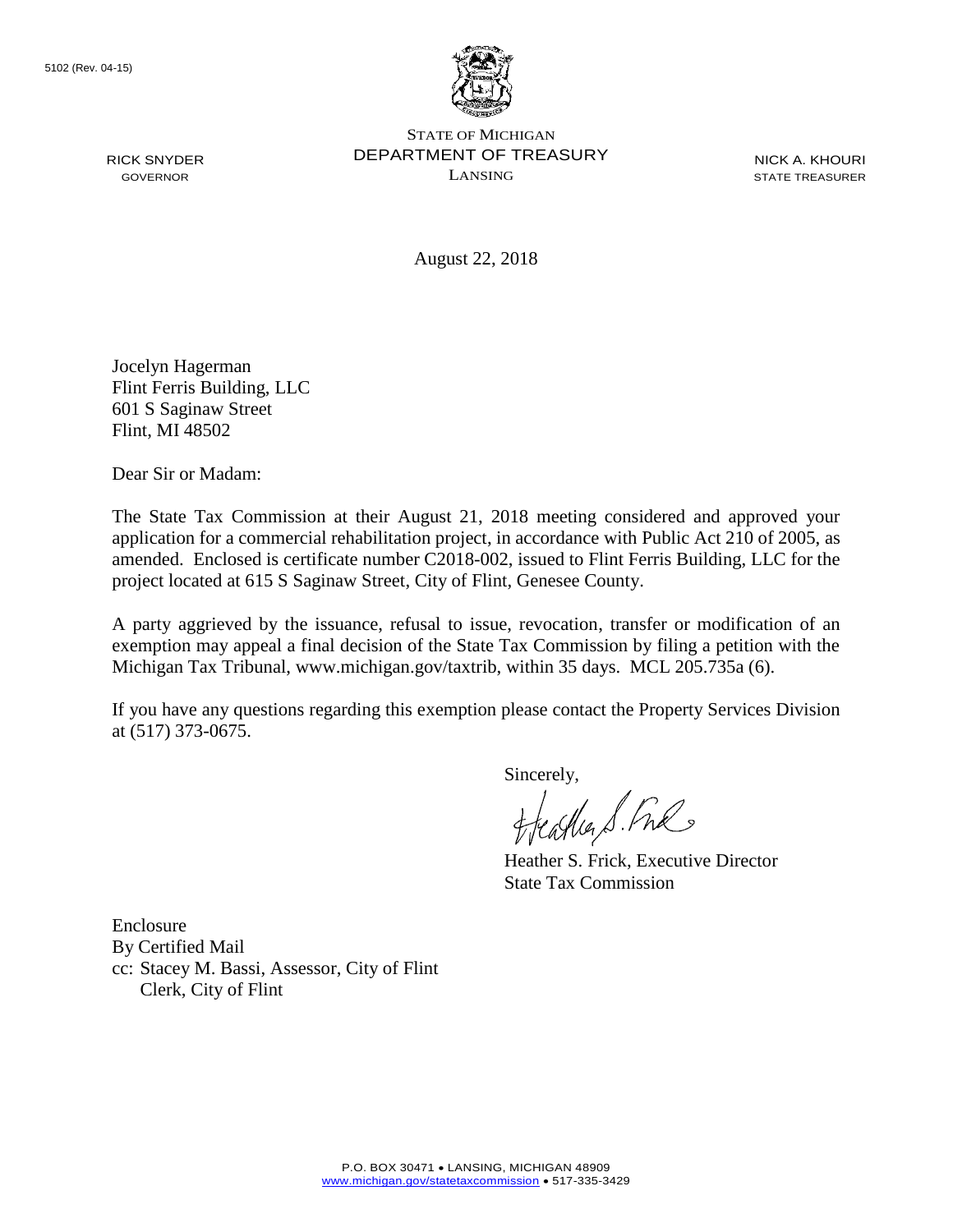RICK SNYDER GOVERNOR



STATE OF MICHIGAN DEPARTMENT OF TREASURY LANSING

NICK A. KHOURI STATE TREASURER

August 22, 2018

Jocelyn Hagerman Flint Ferris Building, LLC 601 S Saginaw Street Flint, MI 48502

Dear Sir or Madam:

The State Tax Commission at their August 21, 2018 meeting considered and approved your application for a commercial rehabilitation project, in accordance with Public Act 210 of 2005, as amended. Enclosed is certificate number C2018-002, issued to Flint Ferris Building, LLC for the project located at 615 S Saginaw Street, City of Flint, Genesee County.

A party aggrieved by the issuance, refusal to issue, revocation, transfer or modification of an exemption may appeal a final decision of the State Tax Commission by filing a petition with the Michigan Tax Tribunal, www.michigan.gov/taxtrib, within 35 days. MCL 205.735a (6).

If you have any questions regarding this exemption please contact the Property Services Division at (517) 373-0675.

Sincerely,

Heather S. Fre

Heather S. Frick, Executive Director State Tax Commission

Enclosure By Certified Mail cc: Stacey M. Bassi, Assessor, City of Flint Clerk, City of Flint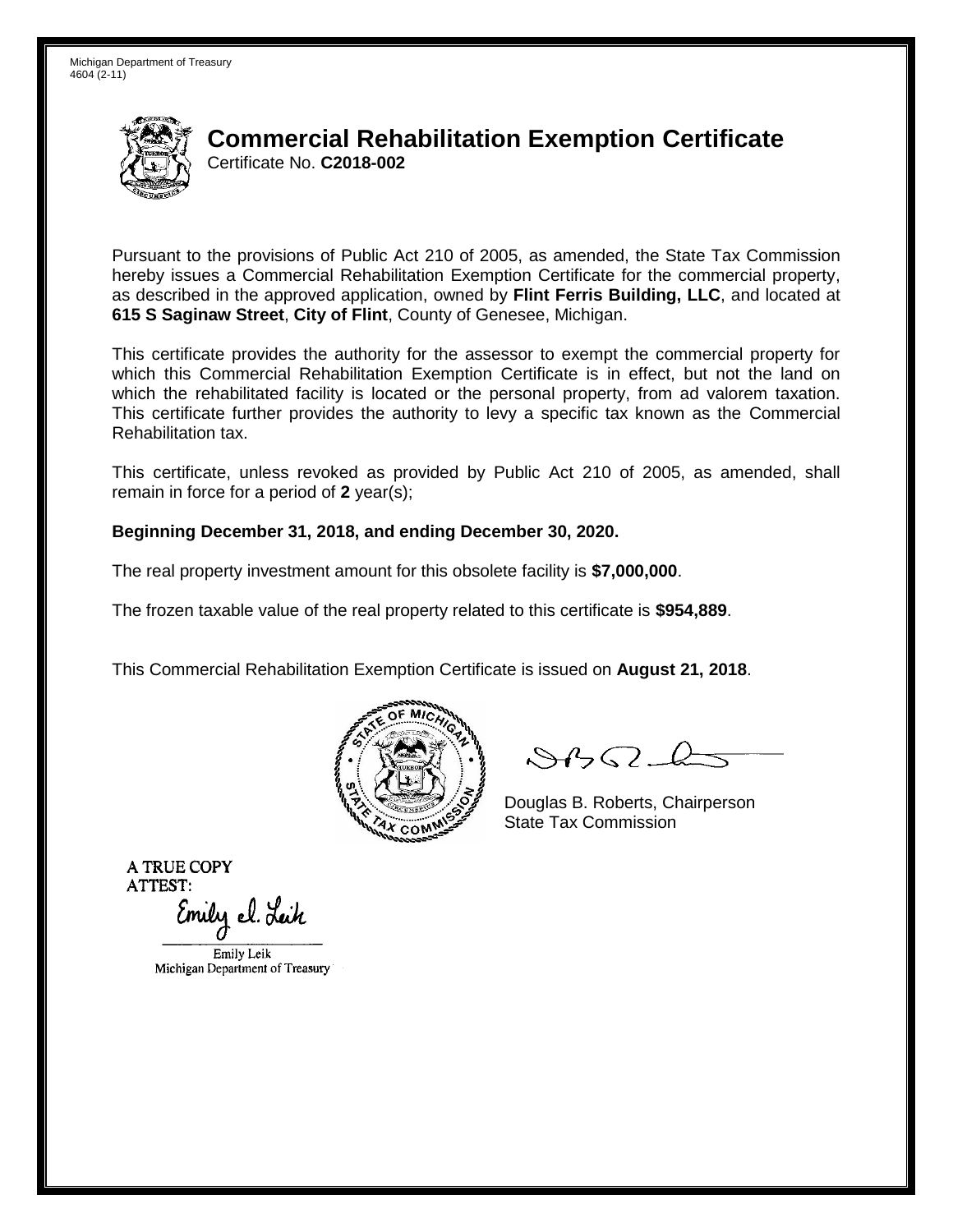

# **Commercial Rehabilitation Exemption Certificate** Certificate No. **C2018-002**

Pursuant to the provisions of Public Act 210 of 2005, as amended, the State Tax Commission hereby issues a Commercial Rehabilitation Exemption Certificate for the commercial property, as described in the approved application, owned by **Flint Ferris Building, LLC**, and located at **615 S Saginaw Street**, **City of Flint**, County of Genesee, Michigan.

This certificate provides the authority for the assessor to exempt the commercial property for which this Commercial Rehabilitation Exemption Certificate is in effect, but not the land on which the rehabilitated facility is located or the personal property, from ad valorem taxation. This certificate further provides the authority to levy a specific tax known as the Commercial Rehabilitation tax.

This certificate, unless revoked as provided by Public Act 210 of 2005, as amended, shall remain in force for a period of **2** year(s);

#### **Beginning December 31, 2018, and ending December 30, 2020.**

The real property investment amount for this obsolete facility is **\$7,000,000**.

The frozen taxable value of the real property related to this certificate is **\$954,889**.

This Commercial Rehabilitation Exemption Certificate is issued on **August 21, 2018**.



 $84562-6$ 

Douglas B. Roberts, Chairperson State Tax Commission

**A TRUE COPY ATTEST:** 

Emily el. Leik

Emily Leik Michigan Department of Treasury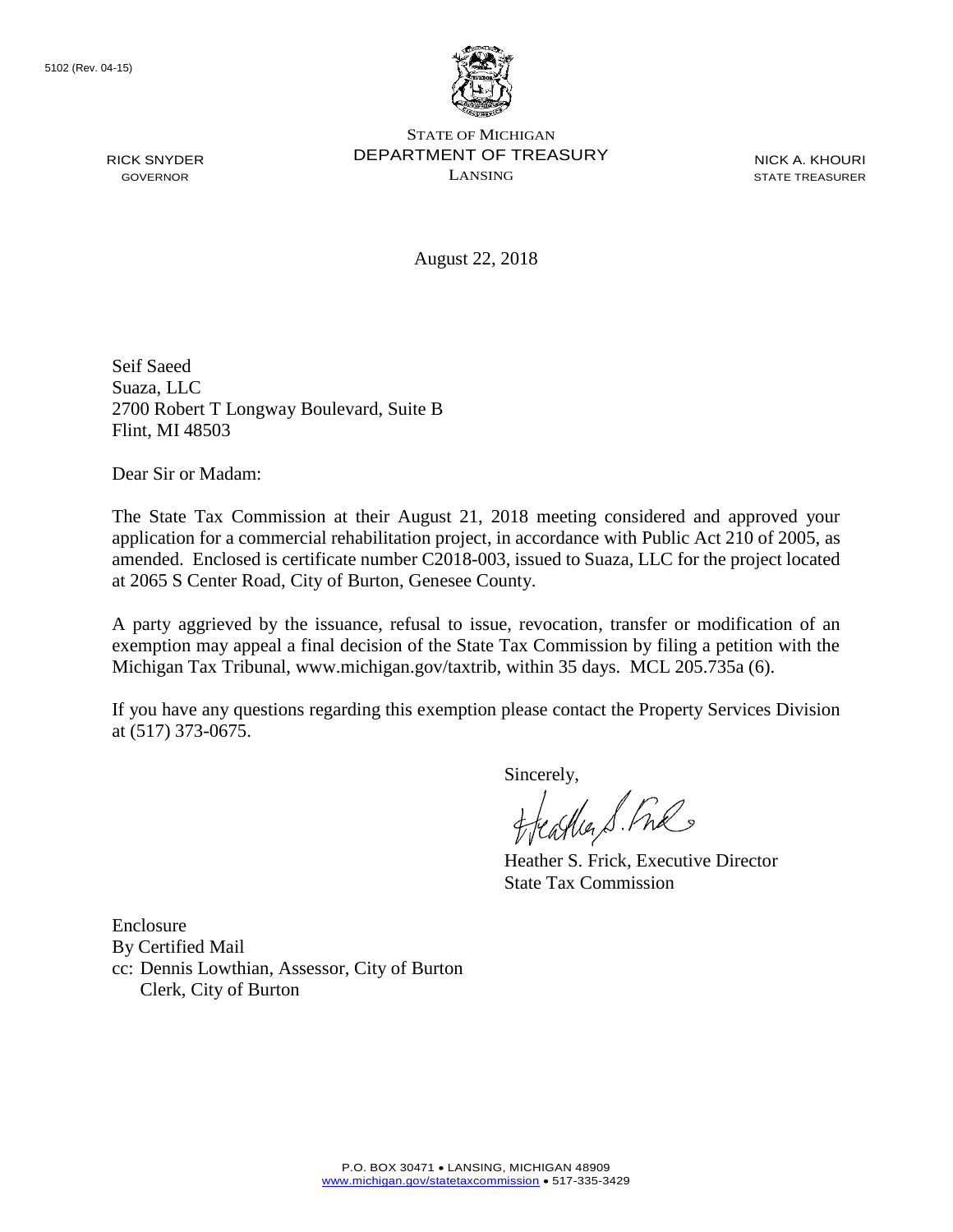RICK SNYDER GOVERNOR



STATE OF MICHIGAN DEPARTMENT OF TREASURY LANSING

NICK A. KHOURI STATE TREASURER

August 22, 2018

Seif Saeed Suaza, LLC 2700 Robert T Longway Boulevard, Suite B Flint, MI 48503

Dear Sir or Madam:

The State Tax Commission at their August 21, 2018 meeting considered and approved your application for a commercial rehabilitation project, in accordance with Public Act 210 of 2005, as amended. Enclosed is certificate number C2018-003, issued to Suaza, LLC for the project located at 2065 S Center Road, City of Burton, Genesee County.

A party aggrieved by the issuance, refusal to issue, revocation, transfer or modification of an exemption may appeal a final decision of the State Tax Commission by filing a petition with the Michigan Tax Tribunal, www.michigan.gov/taxtrib, within 35 days. MCL 205.735a (6).

If you have any questions regarding this exemption please contact the Property Services Division at (517) 373-0675.

Sincerely,

Heather S. Fre

Heather S. Frick, Executive Director State Tax Commission

Enclosure By Certified Mail cc: Dennis Lowthian, Assessor, City of Burton Clerk, City of Burton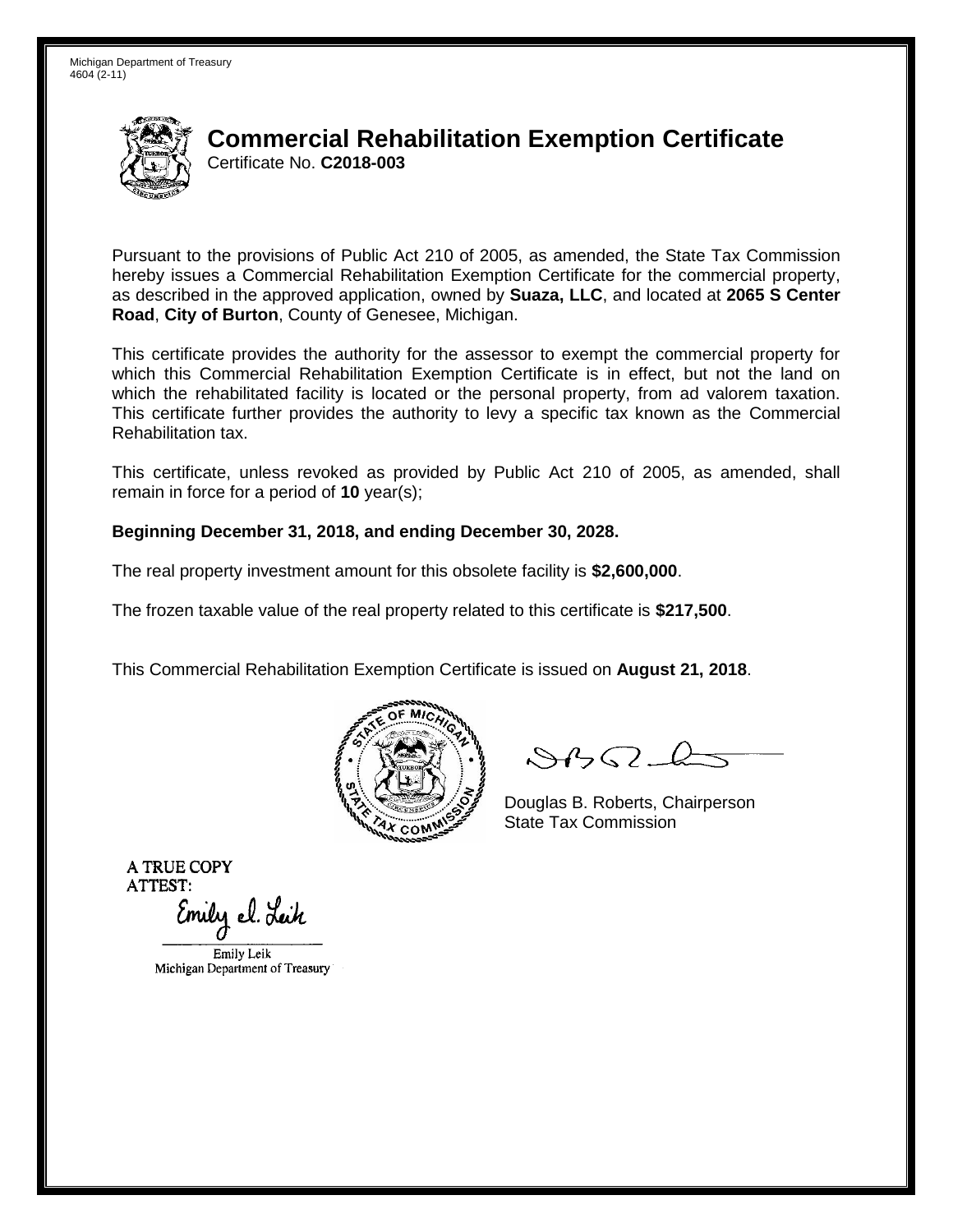

## **Commercial Rehabilitation Exemption Certificate** Certificate No. **C2018-003**

Pursuant to the provisions of Public Act 210 of 2005, as amended, the State Tax Commission hereby issues a Commercial Rehabilitation Exemption Certificate for the commercial property, as described in the approved application, owned by **Suaza, LLC**, and located at **2065 S Center Road**, **City of Burton**, County of Genesee, Michigan.

This certificate provides the authority for the assessor to exempt the commercial property for which this Commercial Rehabilitation Exemption Certificate is in effect, but not the land on which the rehabilitated facility is located or the personal property, from ad valorem taxation. This certificate further provides the authority to levy a specific tax known as the Commercial Rehabilitation tax.

This certificate, unless revoked as provided by Public Act 210 of 2005, as amended, shall remain in force for a period of **10** year(s);

### **Beginning December 31, 2018, and ending December 30, 2028.**

The real property investment amount for this obsolete facility is **\$2,600,000**.

The frozen taxable value of the real property related to this certificate is **\$217,500**.

This Commercial Rehabilitation Exemption Certificate is issued on **August 21, 2018**.



 $84562-6$ 

Douglas B. Roberts, Chairperson State Tax Commission

**A TRUE COPY ATTEST:** 

Emily el. Leik

Emily Leik Michigan Department of Treasury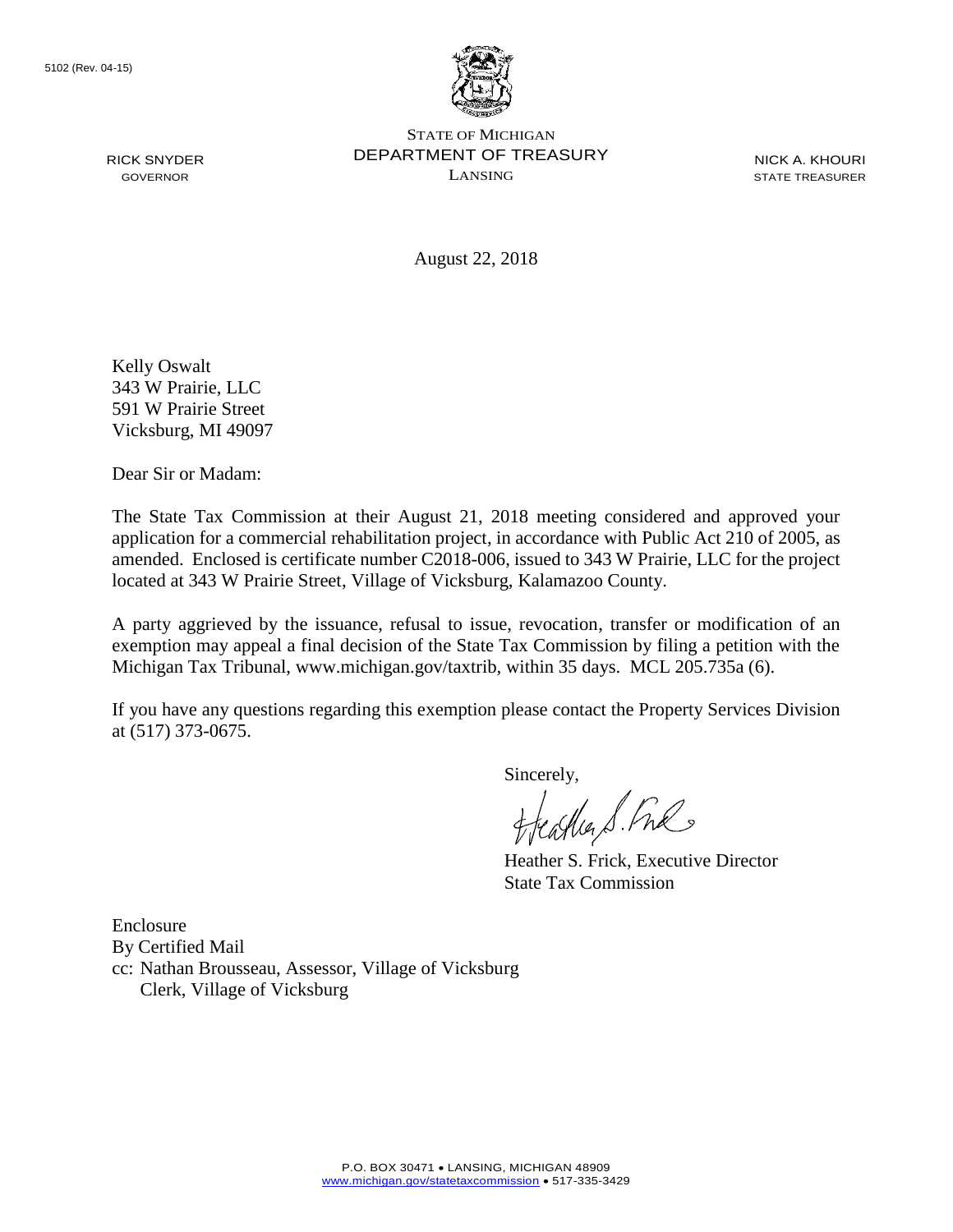

STATE OF MICHIGAN DEPARTMENT OF TREASURY LANSING

NICK A. KHOURI STATE TREASURER

August 22, 2018

Kelly Oswalt 343 W Prairie, LLC 591 W Prairie Street Vicksburg, MI 49097

RICK SNYDER GOVERNOR

Dear Sir or Madam:

The State Tax Commission at their August 21, 2018 meeting considered and approved your application for a commercial rehabilitation project, in accordance with Public Act 210 of 2005, as amended. Enclosed is certificate number C2018-006, issued to 343 W Prairie, LLC for the project located at 343 W Prairie Street, Village of Vicksburg, Kalamazoo County.

A party aggrieved by the issuance, refusal to issue, revocation, transfer or modification of an exemption may appeal a final decision of the State Tax Commission by filing a petition with the Michigan Tax Tribunal, www.michigan.gov/taxtrib, within 35 days. MCL 205.735a (6).

If you have any questions regarding this exemption please contact the Property Services Division at (517) 373-0675.

Sincerely,

Heather S. Fre

Heather S. Frick, Executive Director State Tax Commission

Enclosure By Certified Mail cc: Nathan Brousseau, Assessor, Village of Vicksburg Clerk, Village of Vicksburg